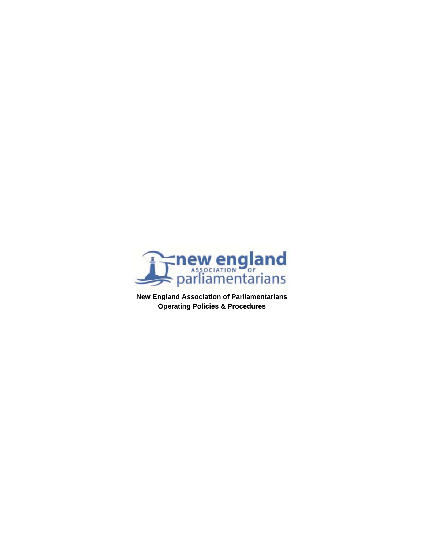

**New England Association of Parliamentarians Operating Policies & Procedures**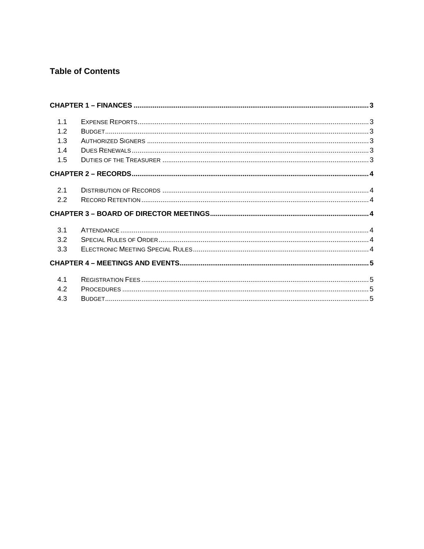# **Table of Contents**

| 1.1 |  |  |
|-----|--|--|
| 1.2 |  |  |
| 1.3 |  |  |
| 1.4 |  |  |
| 1.5 |  |  |
|     |  |  |
|     |  |  |
| 2.1 |  |  |
| 2.2 |  |  |
|     |  |  |
|     |  |  |
| 3.1 |  |  |
| 3.2 |  |  |
| 3.3 |  |  |
|     |  |  |
|     |  |  |
| 41  |  |  |
| 4.2 |  |  |
| 4.3 |  |  |
|     |  |  |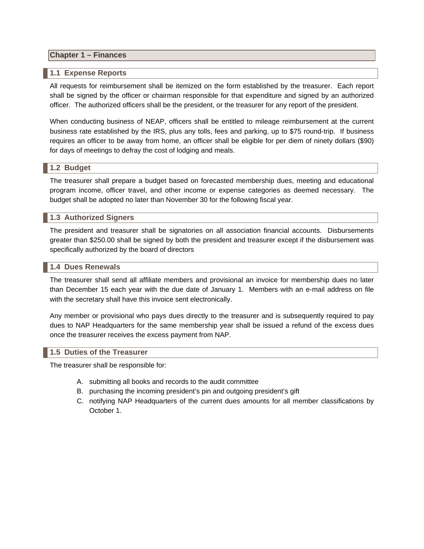# **Chapter 1 – Finances**

#### **1.1 Expense Reports**

All requests for reimbursement shall be itemized on the form established by the treasurer. Each report shall be signed by the officer or chairman responsible for that expenditure and signed by an authorized officer. The authorized officers shall be the president, or the treasurer for any report of the president.

When conducting business of NEAP, officers shall be entitled to mileage reimbursement at the current business rate established by the IRS, plus any tolls, fees and parking, up to \$75 round-trip. If business requires an officer to be away from home, an officer shall be eligible for per diem of ninety dollars (\$90) for days of meetings to defray the cost of lodging and meals.

#### **1.2 Budget**

The treasurer shall prepare a budget based on forecasted membership dues, meeting and educational program income, officer travel, and other income or expense categories as deemed necessary. The budget shall be adopted no later than November 30 for the following fiscal year.

#### **1.3 Authorized Signers**

The president and treasurer shall be signatories on all association financial accounts. Disbursements greater than \$250.00 shall be signed by both the president and treasurer except if the disbursement was specifically authorized by the board of directors

#### **1.4 Dues Renewals**

The treasurer shall send all affiliate members and provisional an invoice for membership dues no later than December 15 each year with the due date of January 1. Members with an e-mail address on file with the secretary shall have this invoice sent electronically.

Any member or provisional who pays dues directly to the treasurer and is subsequently required to pay dues to NAP Headquarters for the same membership year shall be issued a refund of the excess dues once the treasurer receives the excess payment from NAP.

#### **1.5 Duties of the Treasurer**

The treasurer shall be responsible for:

- A. submitting all books and records to the audit committee
- B. purchasing the incoming president's pin and outgoing president's gift
- C. notifying NAP Headquarters of the current dues amounts for all member classifications by October 1.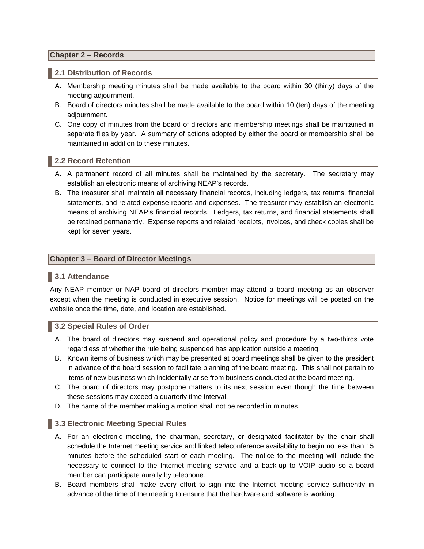## **Chapter 2 – Records**

## **2.1 Distribution of Records**

- A. Membership meeting minutes shall be made available to the board within 30 (thirty) days of the meeting adjournment.
- B. Board of directors minutes shall be made available to the board within 10 (ten) days of the meeting adjournment.
- C. One copy of minutes from the board of directors and membership meetings shall be maintained in separate files by year. A summary of actions adopted by either the board or membership shall be maintained in addition to these minutes.

## **2.2 Record Retention**

- A. A permanent record of all minutes shall be maintained by the secretary. The secretary may establish an electronic means of archiving NEAP's records.
- B. The treasurer shall maintain all necessary financial records, including ledgers, tax returns, financial statements, and related expense reports and expenses. The treasurer may establish an electronic means of archiving NEAP's financial records. Ledgers, tax returns, and financial statements shall be retained permanently. Expense reports and related receipts, invoices, and check copies shall be kept for seven years.

## **Chapter 3 – Board of Director Meetings**

## **3.1 Attendance**

Any NEAP member or NAP board of directors member may attend a board meeting as an observer except when the meeting is conducted in executive session. Notice for meetings will be posted on the website once the time, date, and location are established.

#### **3.2 Special Rules of Order**

- A. The board of directors may suspend and operational policy and procedure by a two-thirds vote regardless of whether the rule being suspended has application outside a meeting.
- B. Known items of business which may be presented at board meetings shall be given to the president in advance of the board session to facilitate planning of the board meeting. This shall not pertain to items of new business which incidentally arise from business conducted at the board meeting.
- C. The board of directors may postpone matters to its next session even though the time between these sessions may exceed a quarterly time interval.
- D. The name of the member making a motion shall not be recorded in minutes.

## **3.3 Electronic Meeting Special Rules**

- A. For an electronic meeting, the chairman, secretary, or designated facilitator by the chair shall schedule the Internet meeting service and linked teleconference availability to begin no less than 15 minutes before the scheduled start of each meeting. The notice to the meeting will include the necessary to connect to the Internet meeting service and a back-up to VOIP audio so a board member can participate aurally by telephone.
- B. Board members shall make every effort to sign into the Internet meeting service sufficiently in advance of the time of the meeting to ensure that the hardware and software is working.